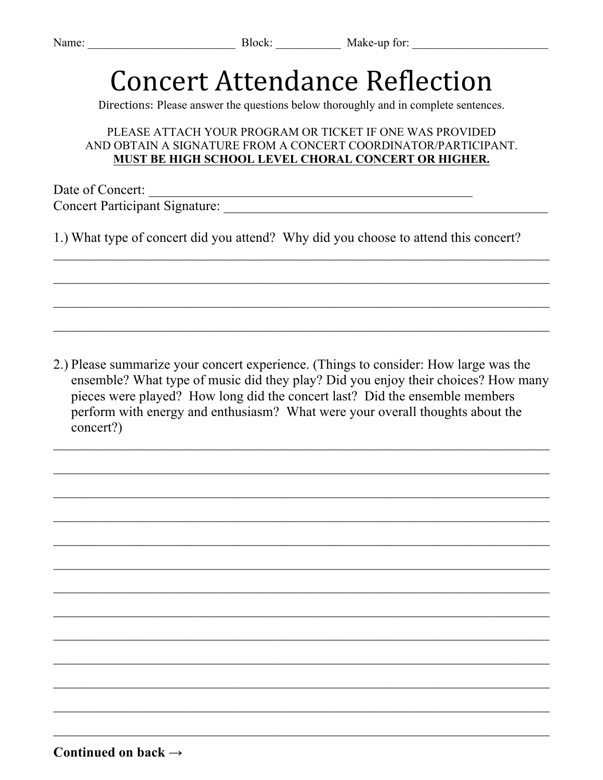## **Concert Attendance Reflection**

Directions: Please answer the questions below thoroughly and in complete sentences.

## PLEASE ATTACH YOUR PROGRAM OR TICKET IF ONE WAS PROVIDED AND OBTAIN A SIGNATURE FROM A CONCERT COORDINATOR/PARTICIPANT. **MUST BE HIGH SCHOOL LEVEL CHORAL CONCERT OR HIGHER.**

Date of Concert: \_\_\_\_\_\_\_\_\_\_\_\_\_\_\_\_\_\_\_\_\_\_\_\_\_\_\_\_\_\_\_\_\_\_\_\_\_\_\_\_\_\_\_\_\_\_\_ Concert Participant Signature: \_\_\_\_\_\_\_\_\_\_\_\_\_\_\_\_\_\_\_\_\_\_\_\_\_\_\_\_\_\_\_\_\_\_\_\_\_\_\_\_\_\_\_\_\_\_\_

1.) What type of concert did you attend? Why did you choose to attend this concert?

2.) Please summarize your concert experience. (Things to consider: How large was the ensemble? What type of music did they play? Did you enjoy their choices? How many pieces were played? How long did the concert last? Did the ensemble members perform with energy and enthusiasm? What were your overall thoughts about the concert?)

 $\_$ 

 $\_$ 

 $\_$ 

 $\mathcal{L}_\text{max} = \frac{1}{2} \sum_{i=1}^n \mathcal{L}_\text{max}(\mathbf{x}_i - \mathbf{y}_i)$ 

 $\mathcal{L}_\text{max} = \frac{1}{2} \sum_{i=1}^n \mathcal{L}_\text{max}(\mathbf{x}_i - \mathbf{y}_i)$ 

 $\_$ 

 $\mathcal{L}_\text{max} = \frac{1}{2} \sum_{i=1}^n \mathcal{L}_\text{max}(\mathbf{x}_i - \mathbf{y}_i)$ 

 $\mathcal{L}_\text{max} = \frac{1}{2} \sum_{i=1}^n \mathcal{L}_\text{max}(\mathbf{x}_i - \mathbf{y}_i)$ 

 $\_$ 

 $\_$